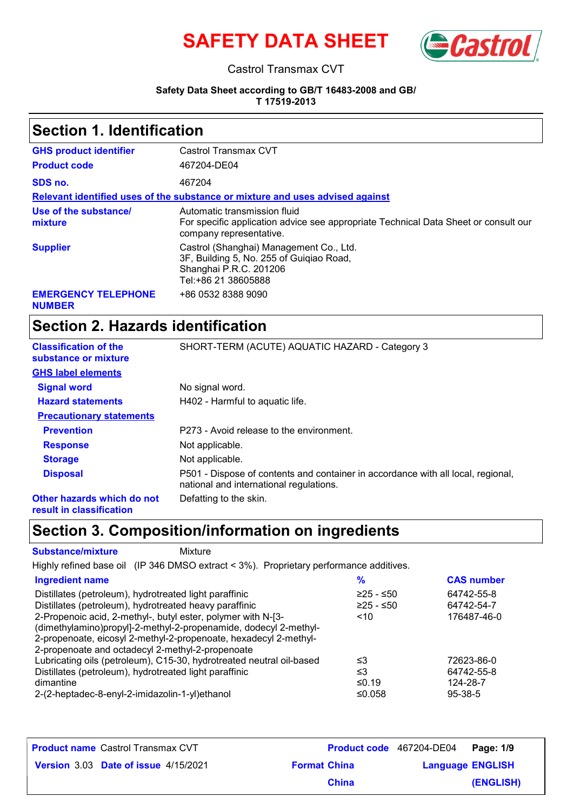



#### Castrol Transmax CVT

#### **Safety Data Sheet according to GB/T 16483-2008 and GB/**

**T 17519-2013**

#### **Section 1. Identification**

| <b>GHS product identifier</b>               | Castrol Transmax CVT                                                                                                                           |
|---------------------------------------------|------------------------------------------------------------------------------------------------------------------------------------------------|
| <b>Product code</b>                         | 467204-DE04                                                                                                                                    |
| SDS no.                                     | 467204                                                                                                                                         |
|                                             | Relevant identified uses of the substance or mixture and uses advised against                                                                  |
| Use of the substance/<br>mixture            | Automatic transmission fluid<br>For specific application advice see appropriate Technical Data Sheet or consult our<br>company representative. |
| <b>Supplier</b>                             | Castrol (Shanghai) Management Co., Ltd.<br>3F, Building 5, No. 255 of Guigiao Road,<br>Shanghai P.R.C. 201206<br>Tel:+86 21 38605888           |
| <b>EMERGENCY TELEPHONE</b><br><b>NUMBER</b> | +86 0532 8388 9090                                                                                                                             |

## **Section 2. Hazards identification**

| <b>Classification of the</b><br>substance or mixture                                                                                         | SHORT-TERM (ACUTE) AQUATIC HAZARD - Category 3                                                                              |
|----------------------------------------------------------------------------------------------------------------------------------------------|-----------------------------------------------------------------------------------------------------------------------------|
| <b>GHS label elements</b>                                                                                                                    |                                                                                                                             |
| <b>Signal word</b>                                                                                                                           | No signal word.                                                                                                             |
| <b>Hazard statements</b>                                                                                                                     | H402 - Harmful to aquatic life.                                                                                             |
| <b>Precautionary statements</b>                                                                                                              |                                                                                                                             |
| <b>Prevention</b>                                                                                                                            | P273 - Avoid release to the environment.                                                                                    |
| <b>Response</b>                                                                                                                              | Not applicable.                                                                                                             |
| <b>Storage</b>                                                                                                                               | Not applicable.                                                                                                             |
| <b>Disposal</b>                                                                                                                              | P501 - Dispose of contents and container in accordance with all local, regional,<br>national and international regulations. |
| Other hazards which do not<br>and the state of the state of the state of the state of the state of the state of the state of the state of th | Defatting to the skin.                                                                                                      |

**result in classification**

## **Section 3. Composition/information on ingredients**

**Substance/mixture** Mixture

Highly refined base oil (IP 346 DMSO extract < 3%). Proprietary performance additives.

| <b>Ingredient name</b>                                               | %           | <b>CAS number</b> |
|----------------------------------------------------------------------|-------------|-------------------|
| Distillates (petroleum), hydrotreated light paraffinic               | $≥25 - ≤50$ | 64742-55-8        |
| Distillates (petroleum), hydrotreated heavy paraffinic               | $≥25 - ≤50$ | 64742-54-7        |
| 2-Propenoic acid, 2-methyl-, butyl ester, polymer with N-[3-         | $<$ 10      | 176487-46-0       |
| (dimethylamino)propyl]-2-methyl-2-propenamide, dodecyl 2-methyl-     |             |                   |
| 2-propenoate, eicosyl 2-methyl-2-propenoate, hexadecyl 2-methyl-     |             |                   |
| 2-propenoate and octadecyl 2-methyl-2-propenoate                     |             |                   |
| Lubricating oils (petroleum), C15-30, hydrotreated neutral oil-based | ≤3          | 72623-86-0        |
| Distillates (petroleum), hydrotreated light paraffinic               | ≤3          | 64742-55-8        |
| dimantine                                                            | ≤0.19       | 124-28-7          |
| 2-(2-heptadec-8-enyl-2-imidazolin-1-yl)ethanol                       | ≤0.058      | $95 - 38 - 5$     |

| <b>Product name</b> Castrol Transmax CVT |                     | Product code 467204-DE04 Page: 1/9 |           |
|------------------------------------------|---------------------|------------------------------------|-----------|
| Version 3.03 Date of issue 4/15/2021     | <b>Format China</b> | <b>Language ENGLISH</b>            |           |
|                                          | <b>China</b>        |                                    | (ENGLISH) |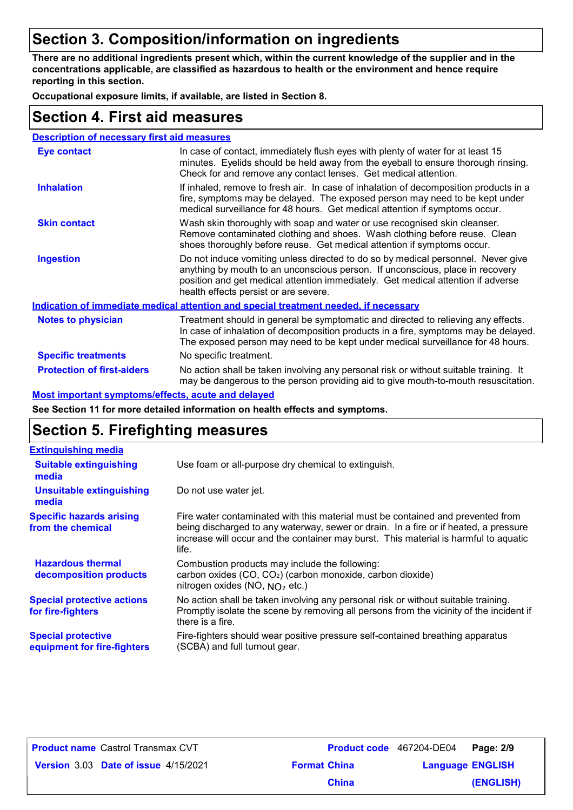## **Section 3. Composition/information on ingredients**

**There are no additional ingredients present which, within the current knowledge of the supplier and in the concentrations applicable, are classified as hazardous to health or the environment and hence require reporting in this section.**

**Occupational exposure limits, if available, are listed in Section 8.**

#### **Section 4. First aid measures**

| <b>Description of necessary first aid measures</b> |                                                                                                                                                                                                                                                                                                |
|----------------------------------------------------|------------------------------------------------------------------------------------------------------------------------------------------------------------------------------------------------------------------------------------------------------------------------------------------------|
| <b>Eye contact</b>                                 | In case of contact, immediately flush eyes with plenty of water for at least 15<br>minutes. Eyelids should be held away from the eyeball to ensure thorough rinsing.<br>Check for and remove any contact lenses. Get medical attention.                                                        |
| <b>Inhalation</b>                                  | If inhaled, remove to fresh air. In case of inhalation of decomposition products in a<br>fire, symptoms may be delayed. The exposed person may need to be kept under<br>medical surveillance for 48 hours. Get medical attention if symptoms occur.                                            |
| <b>Skin contact</b>                                | Wash skin thoroughly with soap and water or use recognised skin cleanser.<br>Remove contaminated clothing and shoes. Wash clothing before reuse. Clean<br>shoes thoroughly before reuse. Get medical attention if symptoms occur.                                                              |
| <b>Ingestion</b>                                   | Do not induce vomiting unless directed to do so by medical personnel. Never give<br>anything by mouth to an unconscious person. If unconscious, place in recovery<br>position and get medical attention immediately. Get medical attention if adverse<br>health effects persist or are severe. |
|                                                    | Indication of immediate medical attention and special treatment needed, if necessary                                                                                                                                                                                                           |
| <b>Notes to physician</b>                          | Treatment should in general be symptomatic and directed to relieving any effects.<br>In case of inhalation of decomposition products in a fire, symptoms may be delayed.<br>The exposed person may need to be kept under medical surveillance for 48 hours.                                    |
| <b>Specific treatments</b>                         | No specific treatment.                                                                                                                                                                                                                                                                         |
| <b>Protection of first-aiders</b>                  | No action shall be taken involving any personal risk or without suitable training. It<br>may be dangerous to the person providing aid to give mouth-to-mouth resuscitation.                                                                                                                    |

#### **Most important symptoms/effects, acute and delayed**

**See Section 11 for more detailed information on health effects and symptoms.**

## **Section 5. Firefighting measures**

| <b>Extinguishing media</b>                               |                                                                                                                                                                                                                                                                          |
|----------------------------------------------------------|--------------------------------------------------------------------------------------------------------------------------------------------------------------------------------------------------------------------------------------------------------------------------|
| <b>Suitable extinguishing</b><br>media                   | Use foam or all-purpose dry chemical to extinguish.                                                                                                                                                                                                                      |
| <b>Unsuitable extinguishing</b><br>media                 | Do not use water jet.                                                                                                                                                                                                                                                    |
| <b>Specific hazards arising</b><br>from the chemical     | Fire water contaminated with this material must be contained and prevented from<br>being discharged to any waterway, sewer or drain. In a fire or if heated, a pressure<br>increase will occur and the container may burst. This material is harmful to aquatic<br>life. |
| <b>Hazardous thermal</b><br>decomposition products       | Combustion products may include the following:<br>carbon oxides (CO, CO <sub>2</sub> ) (carbon monoxide, carbon dioxide)<br>nitrogen oxides (NO, $NO2$ etc.)                                                                                                             |
| <b>Special protective actions</b><br>for fire-fighters   | No action shall be taken involving any personal risk or without suitable training.<br>Promptly isolate the scene by removing all persons from the vicinity of the incident if<br>there is a fire.                                                                        |
| <b>Special protective</b><br>equipment for fire-fighters | Fire-fighters should wear positive pressure self-contained breathing apparatus<br>(SCBA) and full turnout gear.                                                                                                                                                          |

| <b>Product name Castrol Transmax CVT</b> |                     | Product code 467204-DE04 Page: 2/9 |           |
|------------------------------------------|---------------------|------------------------------------|-----------|
| Version 3.03 Date of issue 4/15/2021     | <b>Format China</b> | <b>Language ENGLISH</b>            |           |
|                                          | <b>China</b>        |                                    | (ENGLISH) |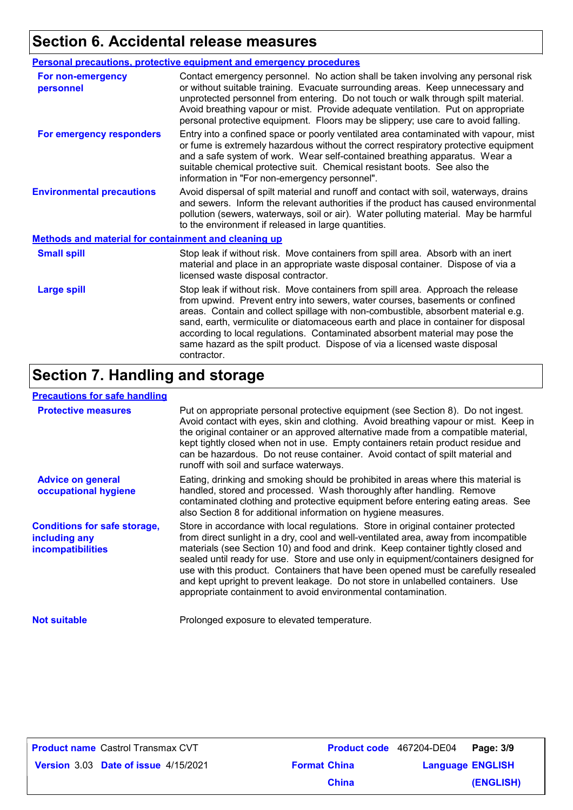# **Section 6. Accidental release measures**

|                                                      | Personal precautions, protective equipment and emergency procedures                                                                                                                                                                                                                                                                                                                                                                                                                                                      |
|------------------------------------------------------|--------------------------------------------------------------------------------------------------------------------------------------------------------------------------------------------------------------------------------------------------------------------------------------------------------------------------------------------------------------------------------------------------------------------------------------------------------------------------------------------------------------------------|
| <b>For non-emergency</b><br>personnel                | Contact emergency personnel. No action shall be taken involving any personal risk<br>or without suitable training. Evacuate surrounding areas. Keep unnecessary and<br>unprotected personnel from entering. Do not touch or walk through spilt material.<br>Avoid breathing vapour or mist. Provide adequate ventilation. Put on appropriate<br>personal protective equipment. Floors may be slippery; use care to avoid falling.                                                                                        |
| For emergency responders                             | Entry into a confined space or poorly ventilated area contaminated with vapour, mist<br>or fume is extremely hazardous without the correct respiratory protective equipment<br>and a safe system of work. Wear self-contained breathing apparatus. Wear a<br>suitable chemical protective suit. Chemical resistant boots. See also the<br>information in "For non-emergency personnel".                                                                                                                                  |
| <b>Environmental precautions</b>                     | Avoid dispersal of spilt material and runoff and contact with soil, waterways, drains<br>and sewers. Inform the relevant authorities if the product has caused environmental<br>pollution (sewers, waterways, soil or air). Water polluting material. May be harmful<br>to the environment if released in large quantities.                                                                                                                                                                                              |
| Methods and material for containment and cleaning up |                                                                                                                                                                                                                                                                                                                                                                                                                                                                                                                          |
| <b>Small spill</b>                                   | Stop leak if without risk. Move containers from spill area. Absorb with an inert<br>material and place in an appropriate waste disposal container. Dispose of via a<br>licensed waste disposal contractor.                                                                                                                                                                                                                                                                                                               |
| <b>Large spill</b>                                   | Stop leak if without risk. Move containers from spill area. Approach the release<br>from upwind. Prevent entry into sewers, water courses, basements or confined<br>areas. Contain and collect spillage with non-combustible, absorbent material e.g.<br>sand, earth, vermiculite or diatomaceous earth and place in container for disposal<br>according to local regulations. Contaminated absorbent material may pose the<br>same hazard as the spilt product. Dispose of via a licensed waste disposal<br>contractor. |

### **Section 7. Handling and storage**

#### **Precautions for safe handling**

| <b>Protective measures</b>                                                | Put on appropriate personal protective equipment (see Section 8). Do not ingest.<br>Avoid contact with eyes, skin and clothing. Avoid breathing vapour or mist. Keep in<br>the original container or an approved alternative made from a compatible material,<br>kept tightly closed when not in use. Empty containers retain product residue and<br>can be hazardous. Do not reuse container. Avoid contact of spilt material and<br>runoff with soil and surface waterways.                                                                                                                  |
|---------------------------------------------------------------------------|------------------------------------------------------------------------------------------------------------------------------------------------------------------------------------------------------------------------------------------------------------------------------------------------------------------------------------------------------------------------------------------------------------------------------------------------------------------------------------------------------------------------------------------------------------------------------------------------|
| <b>Advice on general</b><br>occupational hygiene                          | Eating, drinking and smoking should be prohibited in areas where this material is<br>handled, stored and processed. Wash thoroughly after handling. Remove<br>contaminated clothing and protective equipment before entering eating areas. See<br>also Section 8 for additional information on hygiene measures.                                                                                                                                                                                                                                                                               |
| <b>Conditions for safe storage,</b><br>including any<br>incompatibilities | Store in accordance with local regulations. Store in original container protected<br>from direct sunlight in a dry, cool and well-ventilated area, away from incompatible<br>materials (see Section 10) and food and drink. Keep container tightly closed and<br>sealed until ready for use. Store and use only in equipment/containers designed for<br>use with this product. Containers that have been opened must be carefully resealed<br>and kept upright to prevent leakage. Do not store in unlabelled containers. Use<br>appropriate containment to avoid environmental contamination. |
| <b>Not suitable</b>                                                       | Prolonged exposure to elevated temperature.                                                                                                                                                                                                                                                                                                                                                                                                                                                                                                                                                    |

| <b>Product name Castrol Transmax CVT</b>    |
|---------------------------------------------|
| <b>Version 3.03 Date of issue 4/15/2021</b> |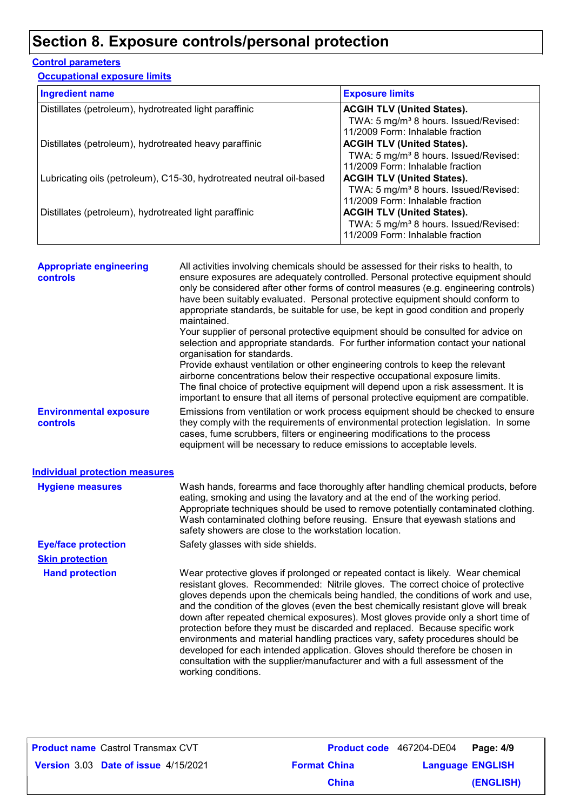# **Section 8. Exposure controls/personal protection**

#### **Control parameters**

**Occupational exposure limits**

| <b>Ingredient name</b>                                               | <b>Exposure limits</b>                            |
|----------------------------------------------------------------------|---------------------------------------------------|
| Distillates (petroleum), hydrotreated light paraffinic               | <b>ACGIH TLV (United States).</b>                 |
|                                                                      | TWA: 5 mg/m <sup>3</sup> 8 hours. Issued/Revised: |
|                                                                      | 11/2009 Form: Inhalable fraction                  |
| Distillates (petroleum), hydrotreated heavy paraffinic               | <b>ACGIH TLV (United States).</b>                 |
|                                                                      | TWA: 5 mg/m <sup>3</sup> 8 hours. Issued/Revised: |
|                                                                      | 11/2009 Form: Inhalable fraction                  |
| Lubricating oils (petroleum), C15-30, hydrotreated neutral oil-based | <b>ACGIH TLV (United States).</b>                 |
|                                                                      | TWA: 5 mg/m <sup>3</sup> 8 hours. Issued/Revised: |
|                                                                      | 11/2009 Form: Inhalable fraction                  |
| Distillates (petroleum), hydrotreated light paraffinic               | <b>ACGIH TLV (United States).</b>                 |
|                                                                      | TWA: 5 mg/m <sup>3</sup> 8 hours. Issued/Revised: |
|                                                                      | 11/2009 Form: Inhalable fraction                  |

| <b>Appropriate engineering</b><br><b>controls</b> | All activities involving chemicals should be assessed for their risks to health, to<br>ensure exposures are adequately controlled. Personal protective equipment should<br>only be considered after other forms of control measures (e.g. engineering controls)<br>have been suitably evaluated. Personal protective equipment should conform to<br>appropriate standards, be suitable for use, be kept in good condition and properly<br>maintained.                                                                                                                                                                                                                                                                                                                                           |
|---------------------------------------------------|-------------------------------------------------------------------------------------------------------------------------------------------------------------------------------------------------------------------------------------------------------------------------------------------------------------------------------------------------------------------------------------------------------------------------------------------------------------------------------------------------------------------------------------------------------------------------------------------------------------------------------------------------------------------------------------------------------------------------------------------------------------------------------------------------|
|                                                   | Your supplier of personal protective equipment should be consulted for advice on<br>selection and appropriate standards. For further information contact your national<br>organisation for standards.<br>Provide exhaust ventilation or other engineering controls to keep the relevant                                                                                                                                                                                                                                                                                                                                                                                                                                                                                                         |
|                                                   | airborne concentrations below their respective occupational exposure limits.<br>The final choice of protective equipment will depend upon a risk assessment. It is<br>important to ensure that all items of personal protective equipment are compatible.                                                                                                                                                                                                                                                                                                                                                                                                                                                                                                                                       |
| <b>Environmental exposure</b><br><b>controls</b>  | Emissions from ventilation or work process equipment should be checked to ensure<br>they comply with the requirements of environmental protection legislation. In some<br>cases, fume scrubbers, filters or engineering modifications to the process<br>equipment will be necessary to reduce emissions to acceptable levels.                                                                                                                                                                                                                                                                                                                                                                                                                                                                   |
| <b>Individual protection measures</b>             |                                                                                                                                                                                                                                                                                                                                                                                                                                                                                                                                                                                                                                                                                                                                                                                                 |
| <b>Hygiene measures</b>                           | Wash hands, forearms and face thoroughly after handling chemical products, before<br>eating, smoking and using the lavatory and at the end of the working period.<br>Appropriate techniques should be used to remove potentially contaminated clothing.<br>Wash contaminated clothing before reusing. Ensure that eyewash stations and<br>safety showers are close to the workstation location.                                                                                                                                                                                                                                                                                                                                                                                                 |
| <b>Eye/face protection</b>                        | Safety glasses with side shields.                                                                                                                                                                                                                                                                                                                                                                                                                                                                                                                                                                                                                                                                                                                                                               |
| <b>Skin protection</b>                            |                                                                                                                                                                                                                                                                                                                                                                                                                                                                                                                                                                                                                                                                                                                                                                                                 |
| <b>Hand protection</b>                            | Wear protective gloves if prolonged or repeated contact is likely. Wear chemical<br>resistant gloves. Recommended: Nitrile gloves. The correct choice of protective<br>gloves depends upon the chemicals being handled, the conditions of work and use,<br>and the condition of the gloves (even the best chemically resistant glove will break<br>down after repeated chemical exposures). Most gloves provide only a short time of<br>protection before they must be discarded and replaced. Because specific work<br>environments and material handling practices vary, safety procedures should be<br>developed for each intended application. Gloves should therefore be chosen in<br>consultation with the supplier/manufacturer and with a full assessment of the<br>working conditions. |
|                                                   |                                                                                                                                                                                                                                                                                                                                                                                                                                                                                                                                                                                                                                                                                                                                                                                                 |

| <b>Product name Castrol Transmax CVT</b> |                     | Product code 467204-DE04 Page: 4/9 |           |
|------------------------------------------|---------------------|------------------------------------|-----------|
| Version 3.03 Date of issue 4/15/2021     | <b>Format China</b> | <b>Language ENGLISH</b>            |           |
|                                          | <b>China</b>        |                                    | (ENGLISH) |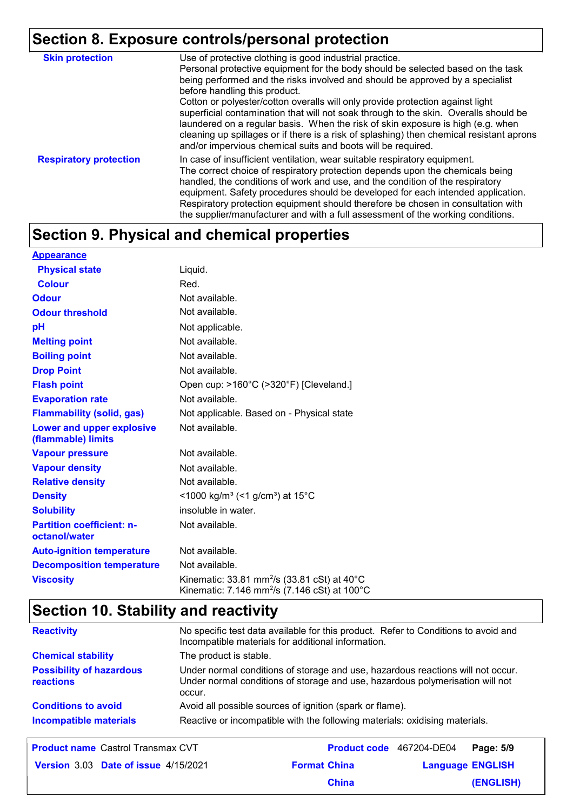# **Section 8. Exposure controls/personal protection**

| <b>Skin protection</b>        | Use of protective clothing is good industrial practice.<br>Personal protective equipment for the body should be selected based on the task<br>being performed and the risks involved and should be approved by a specialist<br>before handling this product.<br>Cotton or polyester/cotton overalls will only provide protection against light<br>superficial contamination that will not soak through to the skin. Overalls should be<br>laundered on a regular basis. When the risk of skin exposure is high (e.g. when<br>cleaning up spillages or if there is a risk of splashing) then chemical resistant aprons<br>and/or impervious chemical suits and boots will be required. |
|-------------------------------|---------------------------------------------------------------------------------------------------------------------------------------------------------------------------------------------------------------------------------------------------------------------------------------------------------------------------------------------------------------------------------------------------------------------------------------------------------------------------------------------------------------------------------------------------------------------------------------------------------------------------------------------------------------------------------------|
| <b>Respiratory protection</b> | In case of insufficient ventilation, wear suitable respiratory equipment.<br>The correct choice of respiratory protection depends upon the chemicals being<br>handled, the conditions of work and use, and the condition of the respiratory<br>equipment. Safety procedures should be developed for each intended application.<br>Respiratory protection equipment should therefore be chosen in consultation with<br>the supplier/manufacturer and with a full assessment of the working conditions.                                                                                                                                                                                 |

# **Section 9. Physical and chemical properties**

| <b>Appearance</b>                                      |                                                                                                                               |
|--------------------------------------------------------|-------------------------------------------------------------------------------------------------------------------------------|
| <b>Physical state</b>                                  | Liquid.                                                                                                                       |
| <b>Colour</b>                                          | Red.                                                                                                                          |
| <b>Odour</b>                                           | Not available.                                                                                                                |
| <b>Odour threshold</b>                                 | Not available.                                                                                                                |
| рH                                                     | Not applicable.                                                                                                               |
| <b>Melting point</b>                                   | Not available.                                                                                                                |
| <b>Boiling point</b>                                   | Not available.                                                                                                                |
| <b>Drop Point</b>                                      | Not available.                                                                                                                |
| <b>Flash point</b>                                     | Open cup: >160°C (>320°F) [Cleveland.]                                                                                        |
| <b>Evaporation rate</b>                                | Not available.                                                                                                                |
| <b>Flammability (solid, gas)</b>                       | Not applicable. Based on - Physical state                                                                                     |
| <b>Lower and upper explosive</b><br>(flammable) limits | Not available.                                                                                                                |
| <b>Vapour pressure</b>                                 | Not available.                                                                                                                |
| <b>Vapour density</b>                                  | Not available.                                                                                                                |
| <b>Relative density</b>                                | Not available.                                                                                                                |
| <b>Density</b>                                         | <1000 kg/m <sup>3</sup> (<1 g/cm <sup>3</sup> ) at 15 <sup>°</sup> C                                                          |
| <b>Solubility</b>                                      | insoluble in water.                                                                                                           |
| <b>Partition coefficient: n-</b><br>octanol/water      | Not available.                                                                                                                |
| <b>Auto-ignition temperature</b>                       | Not available.                                                                                                                |
| <b>Decomposition temperature</b>                       | Not available.                                                                                                                |
| <b>Viscosity</b>                                       | Kinematic: 33.81 mm <sup>2</sup> /s (33.81 cSt) at $40^{\circ}$ C<br>Kinematic: 7.146 mm <sup>2</sup> /s (7.146 cSt) at 100°C |

# **Section 10. Stability and reactivity**

| <b>Reactivity</b>                            | No specific test data available for this product. Refer to Conditions to avoid and<br>Incompatible materials for additional information.                                   |
|----------------------------------------------|----------------------------------------------------------------------------------------------------------------------------------------------------------------------------|
| <b>Chemical stability</b>                    | The product is stable.                                                                                                                                                     |
| <b>Possibility of hazardous</b><br>reactions | Under normal conditions of storage and use, hazardous reactions will not occur.<br>Under normal conditions of storage and use, hazardous polymerisation will not<br>occur. |
| <b>Conditions to avoid</b>                   | Avoid all possible sources of ignition (spark or flame).                                                                                                                   |
| <b>Incompatible materials</b>                | Reactive or incompatible with the following materials: oxidising materials.                                                                                                |

| <b>Product name</b> Castrol Transmax CVT    |                     | Product code 467204-DE04 Page: 5/9 |           |
|---------------------------------------------|---------------------|------------------------------------|-----------|
| <b>Version 3.03 Date of issue 4/15/2021</b> | <b>Format China</b> | <b>Language ENGLISH</b>            |           |
|                                             | <b>China</b>        |                                    | (ENGLISH) |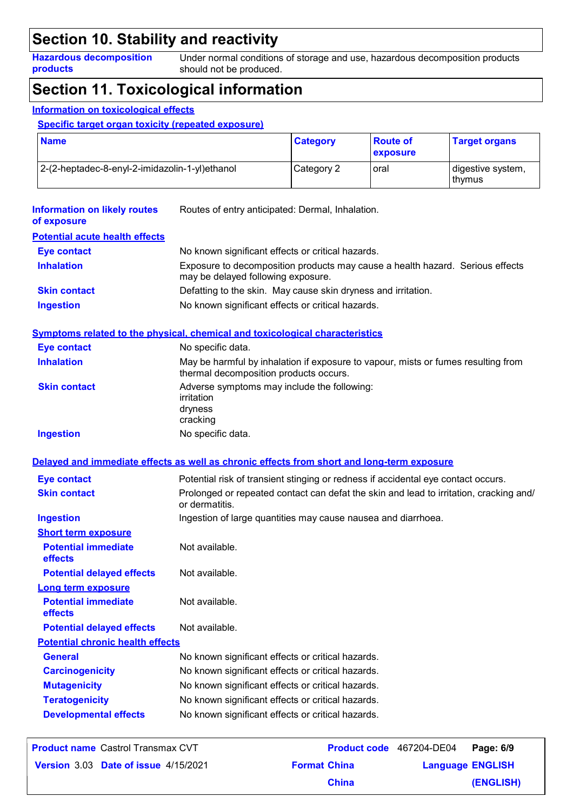### **Section 10. Stability and reactivity**

**Hazardous decomposition products**

Under normal conditions of storage and use, hazardous decomposition products should not be produced.

### **Section 11. Toxicological information**

#### **Information on toxicological effects**

**Specific target organ toxicity (repeated exposure)**

| <b>Name</b>                                    | <b>Category</b> | ∣ Route of<br>exposure | <b>Target organs</b>          |
|------------------------------------------------|-----------------|------------------------|-------------------------------|
| 2-(2-heptadec-8-enyl-2-imidazolin-1-yl)ethanol | Category 2      | oral                   | digestive system,<br>l thvmus |

| <b>Information on likely routes</b><br>of exposure | Routes of entry anticipated: Dermal, Inhalation.                                                                            |  |  |
|----------------------------------------------------|-----------------------------------------------------------------------------------------------------------------------------|--|--|
| <b>Potential acute health effects</b>              |                                                                                                                             |  |  |
| <b>Eye contact</b>                                 | No known significant effects or critical hazards.                                                                           |  |  |
| <b>Inhalation</b>                                  | Exposure to decomposition products may cause a health hazard. Serious effects<br>may be delayed following exposure.         |  |  |
| <b>Skin contact</b>                                | Defatting to the skin. May cause skin dryness and irritation.                                                               |  |  |
| <b>Ingestion</b>                                   | No known significant effects or critical hazards.                                                                           |  |  |
|                                                    | <b>Symptoms related to the physical, chemical and toxicological characteristics</b>                                         |  |  |
| <b>Eye contact</b>                                 | No specific data.                                                                                                           |  |  |
| <b>Inhalation</b>                                  | May be harmful by inhalation if exposure to vapour, mists or fumes resulting from<br>thermal decomposition products occurs. |  |  |
| <b>Skin contact</b>                                | Adverse symptoms may include the following:                                                                                 |  |  |
|                                                    | irritation                                                                                                                  |  |  |
|                                                    | dryness<br>cracking                                                                                                         |  |  |
| <b>Ingestion</b>                                   | No specific data.                                                                                                           |  |  |
|                                                    | Delayed and immediate effects as well as chronic effects from short and long-term exposure                                  |  |  |
|                                                    |                                                                                                                             |  |  |
| <b>Eye contact</b>                                 | Potential risk of transient stinging or redness if accidental eye contact occurs.                                           |  |  |
| <b>Skin contact</b>                                | Prolonged or repeated contact can defat the skin and lead to irritation, cracking and/<br>or dermatitis.                    |  |  |
| <b>Ingestion</b>                                   | Ingestion of large quantities may cause nausea and diarrhoea.                                                               |  |  |
| <b>Short term exposure</b>                         |                                                                                                                             |  |  |
| <b>Potential immediate</b><br>effects              | Not available.                                                                                                              |  |  |
| <b>Potential delayed effects</b>                   | Not available.                                                                                                              |  |  |
| Long term exposure                                 |                                                                                                                             |  |  |
| <b>Potential immediate</b><br>effects              | Not available.                                                                                                              |  |  |
| <b>Potential delayed effects</b>                   | Not available.                                                                                                              |  |  |
| <b>Potential chronic health effects</b>            |                                                                                                                             |  |  |
| <b>General</b>                                     | No known significant effects or critical hazards.                                                                           |  |  |
| <b>Carcinogenicity</b>                             | No known significant effects or critical hazards.                                                                           |  |  |
| <b>Mutagenicity</b>                                | No known significant effects or critical hazards.                                                                           |  |  |
| <b>Teratogenicity</b>                              | No known significant effects or critical hazards.                                                                           |  |  |
| <b>Developmental effects</b>                       | No known significant effects or critical hazards.                                                                           |  |  |
|                                                    |                                                                                                                             |  |  |

| <b>Product name Castrol Transmax CVT</b> |                     | Product code 467204-DE04 Page: 6/9 |           |
|------------------------------------------|---------------------|------------------------------------|-----------|
| Version 3.03 Date of issue 4/15/2021     | <b>Format China</b> | <b>Language ENGLISH</b>            |           |
|                                          | <b>China</b>        |                                    | (ENGLISH) |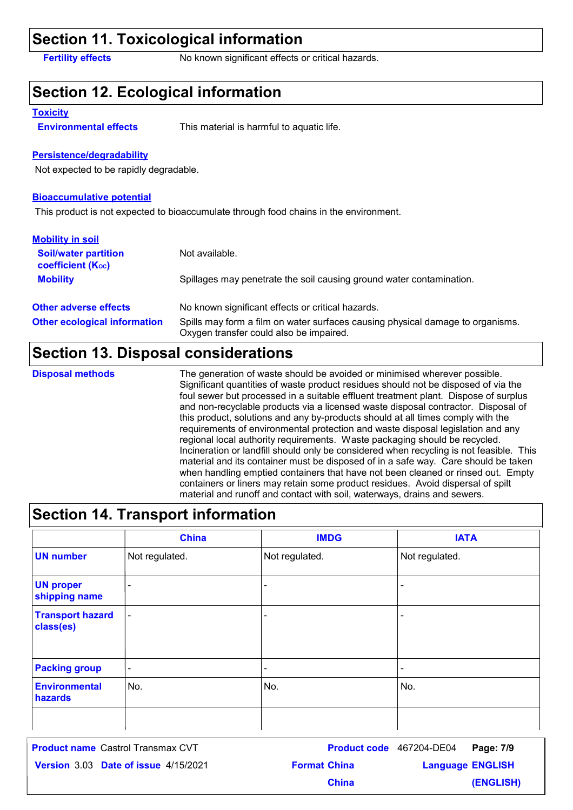### **Section 11. Toxicological information**

**Fertility effects** No known significant effects or critical hazards.

### **Section 12. Ecological information**

#### **Toxicity**

**Environmental effects** This material is harmful to aquatic life.

#### **Persistence/degradability**

Not expected to be rapidly degradable.

#### **Bioaccumulative potential**

This product is not expected to bioaccumulate through food chains in the environment.

| <b>Mobility in soil</b>                                 |                                                                                                                           |
|---------------------------------------------------------|---------------------------------------------------------------------------------------------------------------------------|
| <b>Soil/water partition</b><br><b>coefficient (Koc)</b> | Not available.                                                                                                            |
| <b>Mobility</b>                                         | Spillages may penetrate the soil causing ground water contamination.                                                      |
| <b>Other adverse effects</b>                            | No known significant effects or critical hazards.                                                                         |
| <b>Other ecological information</b>                     | Spills may form a film on water surfaces causing physical damage to organisms.<br>Oxygen transfer could also be impaired. |

#### **Section 13. Disposal considerations**

#### **Disposal methods**

The generation of waste should be avoided or minimised wherever possible. Significant quantities of waste product residues should not be disposed of via the foul sewer but processed in a suitable effluent treatment plant. Dispose of surplus and non-recyclable products via a licensed waste disposal contractor. Disposal of this product, solutions and any by-products should at all times comply with the requirements of environmental protection and waste disposal legislation and any regional local authority requirements. Waste packaging should be recycled. Incineration or landfill should only be considered when recycling is not feasible. This material and its container must be disposed of in a safe way. Care should be taken when handling emptied containers that have not been cleaned or rinsed out. Empty containers or liners may retain some product residues. Avoid dispersal of spilt material and runoff and contact with soil, waterways, drains and sewers.

#### **Section 14. Transport information**

|                                      | <b>China</b>             | <b>IMDG</b>              | <b>IATA</b>              |
|--------------------------------------|--------------------------|--------------------------|--------------------------|
| <b>UN number</b>                     | Not regulated.           | Not regulated.           | Not regulated.           |
| <b>UN proper</b><br>shipping name    | $\blacksquare$           | $\overline{\phantom{0}}$ | $\overline{\phantom{a}}$ |
| <b>Transport hazard</b><br>class(es) | $\overline{\phantom{a}}$ | -                        | $\overline{\phantom{a}}$ |
| <b>Packing group</b>                 | $\overline{\phantom{a}}$ | $\overline{\phantom{a}}$ | $\overline{\phantom{a}}$ |
| <b>Environmental</b><br>hazards      | No.                      | No.                      | No.                      |
|                                      |                          |                          |                          |

**Date of issue** 4/15/2021 **Format China All Language ENGLIS** Castrol Transmax CVT **Page: 7/9** 467204-DE04 **Language ENGLISH (ENGLISH) Product name** Castrol Transmax CVT **China**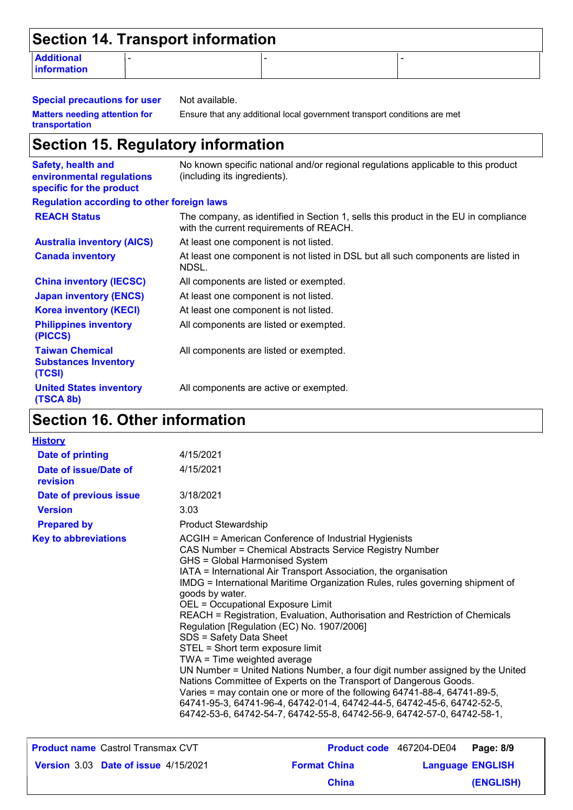| Section 14. Transport information       |   |  |  |
|-----------------------------------------|---|--|--|
| <b>Additional</b><br><b>information</b> | - |  |  |

**Special precautions for user** Not available. **Matters needing attention for transportation**

Ensure that any additional local government transport conditions are met

### **Section 15. Regulatory information**

| <b>Safety, health and</b><br>environmental regulations<br>specific for the product | No known specific national and/or regional regulations applicable to this product<br>(including its ingredients).              |
|------------------------------------------------------------------------------------|--------------------------------------------------------------------------------------------------------------------------------|
| <b>Regulation according to other foreign laws</b>                                  |                                                                                                                                |
| <b>REACH Status</b>                                                                | The company, as identified in Section 1, sells this product in the EU in compliance<br>with the current requirements of REACH. |
| <b>Australia inventory (AICS)</b>                                                  | At least one component is not listed.                                                                                          |
| <b>Canada inventory</b>                                                            | At least one component is not listed in DSL but all such components are listed in<br>NDSL.                                     |
| <b>China inventory (IECSC)</b>                                                     | All components are listed or exempted.                                                                                         |
| <b>Japan inventory (ENCS)</b>                                                      | At least one component is not listed.                                                                                          |
| <b>Korea inventory (KECI)</b>                                                      | At least one component is not listed.                                                                                          |
| <b>Philippines inventory</b><br>(PICCS)                                            | All components are listed or exempted.                                                                                         |
| <b>Taiwan Chemical</b><br><b>Substances Inventory</b><br>(TCSI)                    | All components are listed or exempted.                                                                                         |
| <b>United States inventory</b><br>(TSCA 8b)                                        | All components are active or exempted.                                                                                         |

# **Section 16. Other information**

| <b>History</b>                    |                                                                                                                                                                                                                                                                                                                                                                                                                                                                                                                                                                                                                                                                                                                                                                                                                                                                                                                                                                                     |
|-----------------------------------|-------------------------------------------------------------------------------------------------------------------------------------------------------------------------------------------------------------------------------------------------------------------------------------------------------------------------------------------------------------------------------------------------------------------------------------------------------------------------------------------------------------------------------------------------------------------------------------------------------------------------------------------------------------------------------------------------------------------------------------------------------------------------------------------------------------------------------------------------------------------------------------------------------------------------------------------------------------------------------------|
| Date of printing                  | 4/15/2021                                                                                                                                                                                                                                                                                                                                                                                                                                                                                                                                                                                                                                                                                                                                                                                                                                                                                                                                                                           |
| Date of issue/Date of<br>revision | 4/15/2021                                                                                                                                                                                                                                                                                                                                                                                                                                                                                                                                                                                                                                                                                                                                                                                                                                                                                                                                                                           |
| Date of previous issue            | 3/18/2021                                                                                                                                                                                                                                                                                                                                                                                                                                                                                                                                                                                                                                                                                                                                                                                                                                                                                                                                                                           |
| <b>Version</b>                    | 3.03                                                                                                                                                                                                                                                                                                                                                                                                                                                                                                                                                                                                                                                                                                                                                                                                                                                                                                                                                                                |
| <b>Prepared by</b>                | <b>Product Stewardship</b>                                                                                                                                                                                                                                                                                                                                                                                                                                                                                                                                                                                                                                                                                                                                                                                                                                                                                                                                                          |
| <b>Key to abbreviations</b>       | ACGIH = American Conference of Industrial Hygienists<br>CAS Number = Chemical Abstracts Service Registry Number<br>GHS = Global Harmonised System<br>IATA = International Air Transport Association, the organisation<br>IMDG = International Maritime Organization Rules, rules governing shipment of<br>goods by water.<br>OEL = Occupational Exposure Limit<br>REACH = Registration, Evaluation, Authorisation and Restriction of Chemicals<br>Regulation [Regulation (EC) No. 1907/2006]<br>SDS = Safety Data Sheet<br>STEL = Short term exposure limit<br>TWA = Time weighted average<br>UN Number = United Nations Number, a four digit number assigned by the United<br>Nations Committee of Experts on the Transport of Dangerous Goods.<br>Varies = may contain one or more of the following 64741-88-4, 64741-89-5,<br>64741-95-3, 64741-96-4, 64742-01-4, 64742-44-5, 64742-45-6, 64742-52-5,<br>64742-53-6, 64742-54-7, 64742-55-8, 64742-56-9, 64742-57-0, 64742-58-1, |

**Date of issue** 4/15/2021 **Format China All Language ENGLIS** Castrol Transmax CVT **Page: 8/9** 467204-DE04 **Language ENGLISH (ENGLISH) Product name** Castrol Transmax CVT **China**